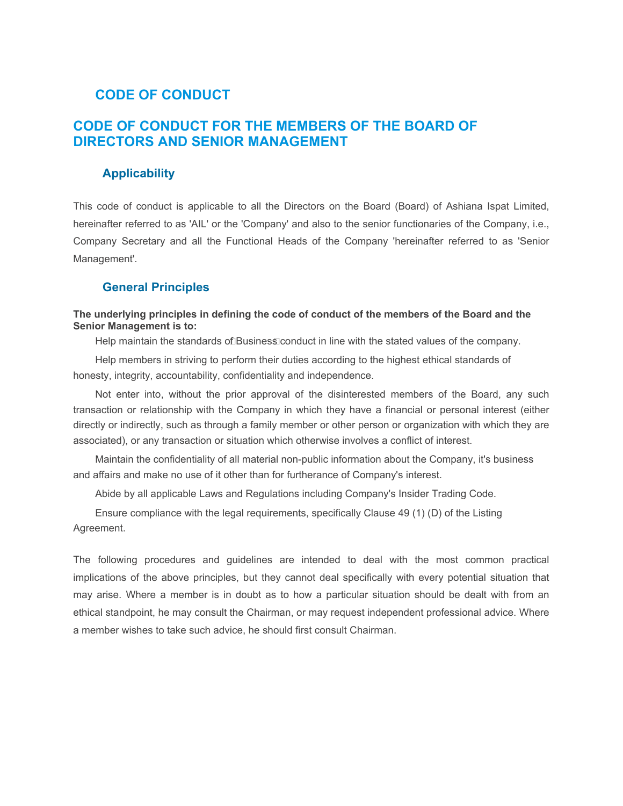# **CODE OF CONDUCT**

# **CODE OF CONDUCT FOR THE MEMBERS OF THE BOARD OF DIRECTORS AND SENIOR MANAGEMENT**

## **Applicability**

This code of conduct is applicable to all the Directors on the Board (Board) of Ashiana Ispat Limited, hereinafter referred to as 'AIL' or the 'Company' and also to the senior functionaries of the Company, i.e., Company Secretary and all the Functional Heads of the Company 'hereinafter referred to as 'Senior Management'.

#### **General Principles**

#### **The underlying principles in defining the code of conduct of the members of the Board and the Senior Management is to:**

Help maintain the standards of Business conduct in line with the stated values of the company.

Help members in striving to perform their duties according to the highest ethical standards of honesty, integrity, accountability, confidentiality and independence.

Not enter into, without the prior approval of the disinterested members of the Board, any such transaction or relationship with the Company in which they have a financial or personal interest (either directly or indirectly, such as through a family member or other person or organization with which they are associated), or any transaction or situation which otherwise involves a conflict of interest.

Maintain the confidentiality of all material non-public information about the Company, it's business and affairs and make no use of it other than for furtherance of Company's interest.

Abide by all applicable Laws and Regulations including Company's Insider Trading Code.

Ensure compliance with the legal requirements, specifically Clause 49 (1) (D) of the Listing Agreement.

The following procedures and guidelines are intended to deal with the most common practical implications of the above principles, but they cannot deal specifically with every potential situation that may arise. Where a member is in doubt as to how a particular situation should be dealt with from an ethical standpoint, he may consult the Chairman, or may request independent professional advice. Where a member wishes to take such advice, he should first consult Chairman.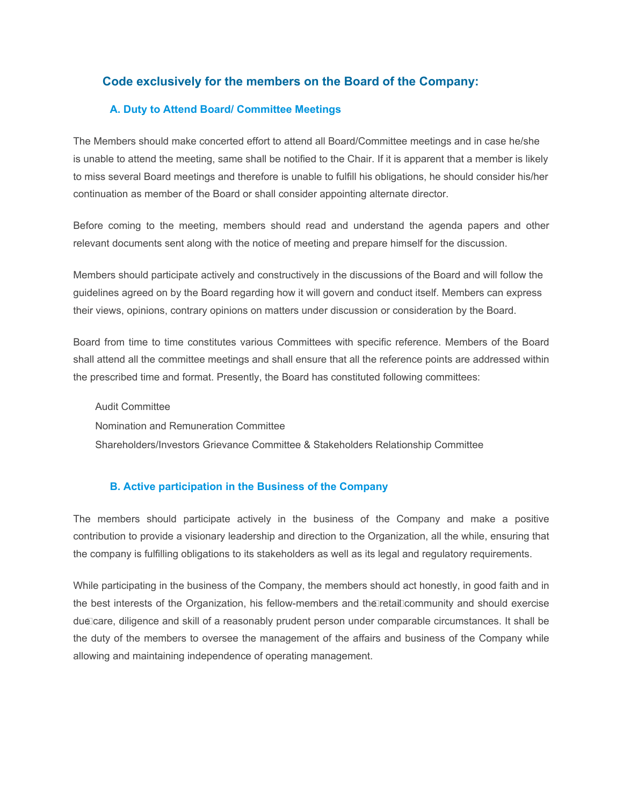# **Code exclusively for the members on the Board of the Company:**

## **A. Duty to Attend Board/ Committee Meetings**

The Members should make concerted effort to attend all Board/Committee meetings and in case he/she is unable to attend the meeting, same shall be notified to the Chair. If it is apparent that a member is likely to miss several Board meetings and therefore is unable to fulfill his obligations, he should consider his/her continuation as member of the Board or shall consider appointing alternate director.

Before coming to the meeting, members should read and understand the agenda papers and other relevant documents sent along with the notice of meeting and prepare himself for the discussion.

Members should participate actively and constructively in the discussions of the Board and will follow the guidelines agreed on by the Board regarding how it will govern and conduct itself. Members can express their views, opinions, contrary opinions on matters under discussion or consideration by the Board.

Board from time to time constitutes various Committees with specific reference. Members of the Board shall attend all the committee meetings and shall ensure that all the reference points are addressed within the prescribed time and format. Presently, the Board has constituted following committees:

Audit Committee Nomination and Remuneration Committee Shareholders/Investors Grievance Committee & Stakeholders Relationship Committee

## **B. Active participation in the Business of the Company**

The members should participate actively in the business of the Company and make a positive contribution to provide a visionary leadership and direction to the Organization, all the while, ensuring that the company is fulfilling obligations to its stakeholders as well as its legal and regulatory requirements.

While participating in the business of the Company, the members should act honestly, in good faith and in the best interests of the Organization, his fellow-members and the retail community and should exercise due care, diligence and skill of a reasonably prudent person under comparable circumstances. It shall be the duty of the members to oversee the management of the affairs and business of the Company while allowing and maintaining independence of operating management.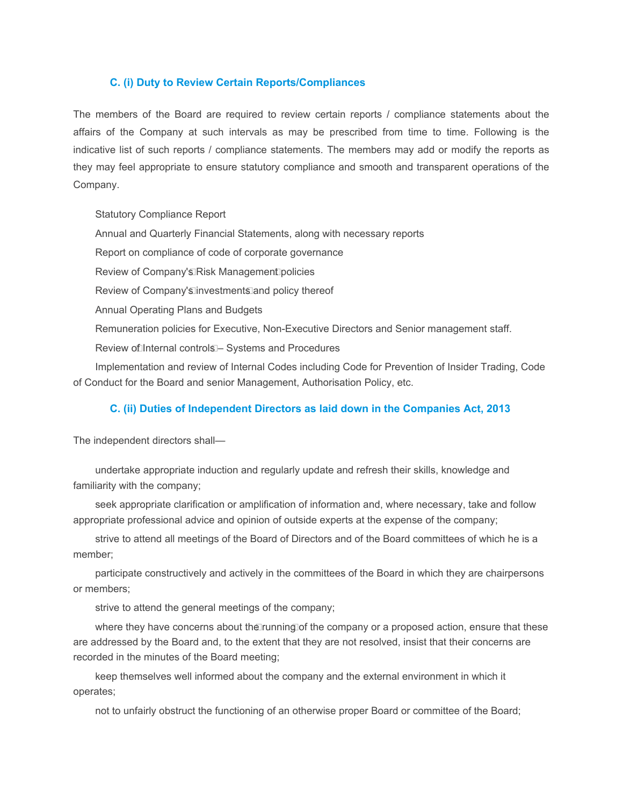#### **C. (i) Duty to Review Certain Reports/Compliances**

The members of the Board are required to review certain reports / compliance statements about the affairs of the Company at such intervals as may be prescribed from time to time. Following is the indicative list of such reports / compliance statements. The members may add or modify the reports as they may feel appropriate to ensure statutory compliance and smooth and transparent operations of the Company.

Statutory Compliance Report Annual and Quarterly Financial Statements, along with necessary reports Report on compliance of code of corporate governance Review of Company's Risk Management policies Review of Company's investments and policy thereof Annual Operating Plans and Budgets Remuneration policies for Executive, Non-Executive Directors and Senior management staff. Review of Internal controls - Systems and Procedures Implementation and review of Internal Codes including Code for Prevention of Insider Trading, Code of Conduct for the Board and senior Management, Authorisation Policy, etc.

## **C. (ii) Duties of Independent Directors as laid down in the Companies Act, 2013**

The independent directors shall—

undertake appropriate induction and regularly update and refresh their skills, knowledge and familiarity with the company;

seek appropriate clarification or amplification of information and, where necessary, take and follow appropriate professional advice and opinion of outside experts at the expense of the company;

strive to attend all meetings of the Board of Directors and of the Board committees of which he is a member;

participate constructively and actively in the committees of the Board in which they are chairpersons or members;

strive to attend the general meetings of the company;

where they have concerns about the running of the company or a proposed action, ensure that these are addressed by the Board and, to the extent that they are not resolved, insist that their concerns are recorded in the minutes of the Board meeting;

keep themselves well informed about the company and the external environment in which it operates;

not to unfairly obstruct the functioning of an otherwise proper Board or committee of the Board;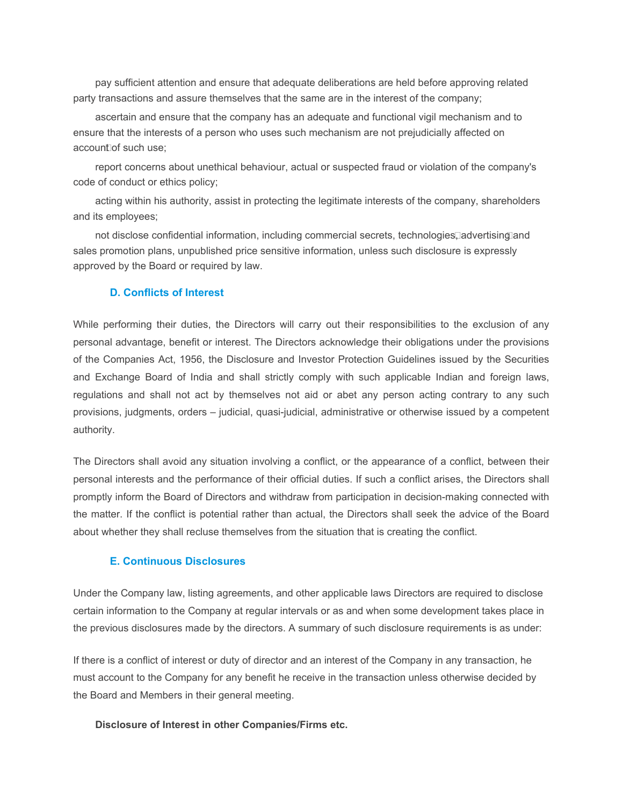pay sufficient attention and ensure that adequate deliberations are held before approving related party transactions and assure themselves that the same are in the interest of the company;

ascertain and ensure that the company has an adequate and functional vigil mechanism and to ensure that the interests of a person who uses such mechanism are not prejudicially affected on account of such use:

report concerns about unethical behaviour, actual or suspected fraud or violation of the company's code of conduct or ethics policy;

acting within his authority, assist in protecting the legitimate interests of the company, shareholders and its employees;

not disclose confidential information, including commercial secrets, technologies, advertising and sales promotion plans, unpublished price sensitive information, unless such disclosure is expressly approved by the Board or required by law.

## **D. Conflicts of Interest**

While performing their duties, the Directors will carry out their responsibilities to the exclusion of any personal advantage, benefit or interest. The Directors acknowledge their obligations under the provisions of the Companies Act, 1956, the Disclosure and Investor Protection Guidelines issued by the Securities and Exchange Board of India and shall strictly comply with such applicable Indian and foreign laws, regulations and shall not act by themselves not aid or abet any person acting contrary to any such provisions, judgments, orders – judicial, quasi-judicial, administrative or otherwise issued by a competent authority.

The Directors shall avoid any situation involving a conflict, or the appearance of a conflict, between their personal interests and the performance of their official duties. If such a conflict arises, the Directors shall promptly inform the Board of Directors and withdraw from participation in decision-making connected with the matter. If the conflict is potential rather than actual, the Directors shall seek the advice of the Board about whether they shall recluse themselves from the situation that is creating the conflict.

#### **E. Continuous Disclosures**

Under the Company law, listing agreements, and other applicable laws Directors are required to disclose certain information to the Company at regular intervals or as and when some development takes place in the previous disclosures made by the directors. A summary of such disclosure requirements is as under:

If there is a conflict of interest or duty of director and an interest of the Company in any transaction, he must account to the Company for any benefit he receive in the transaction unless otherwise decided by the Board and Members in their general meeting.

#### **Disclosure of Interest in other Companies/Firms etc.**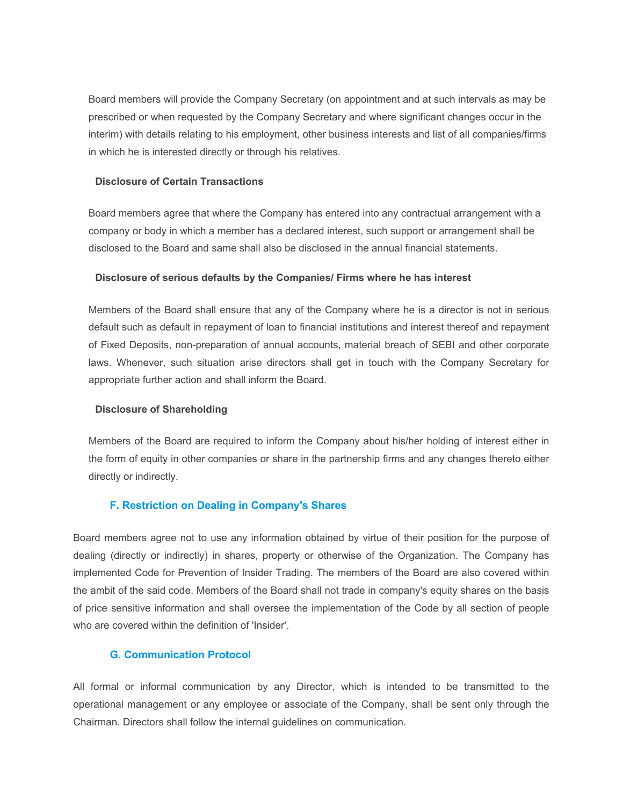Board members will provide the Company Secretary (on appointment and at such intervals as may be prescribed or when requested by the Company Secretary and where significant changes occur in the interim) with details relating to his employment, other business interests and list of all companies/firms in which he is interested directly or through his relatives.

#### **Disclosure of Certain Transactions**

Board members agree that where the Company has entered into any contractual arrangement with a company or body in which a member has a declared interest, such support or arrangement shall be disclosed to the Board and same shall also be disclosed in the annual financial statements.

#### **Disclosure of serious defaults by the Companies/ Firms where he has interest**

Members of the Board shall ensure that any of the Company where he is a director is not in serious default such as default in repayment of loan to financial institutions and interest thereof and repayment of Fixed Deposits, non-preparation of annual accounts, material breach of SEBI and other corporate laws. Whenever, such situation arise directors shall get in touch with the Company Secretary for appropriate further action and shall inform the Board.

#### **Disclosure of Shareholding**

Members of the Board are required to inform the Company about his/her holding of interest either in the form of equity in other companies or share in the partnership firms and any changes thereto either directly or indirectly.

## **F. Restriction on Dealing in Company's Shares**

Board members agree not to use any information obtained by virtue of their position for the purpose of dealing (directly or indirectly) in shares, property or otherwise of the Organization. The Company has implemented Code for Prevention of Insider Trading. The members of the Board are also covered within the ambit of the said code. Members of the Board shall not trade in company's equity shares on the basis of price sensitive information and shall oversee the implementation of the Code by all section of people who are covered within the definition of 'Insider'.

## **G. Communication Protocol**

All formal or informal communication by any Director, which is intended to be transmitted to the operational management or any employee or associate of the Company, shall be sent only through the Chairman. Directors shall follow the internal guidelines on communication.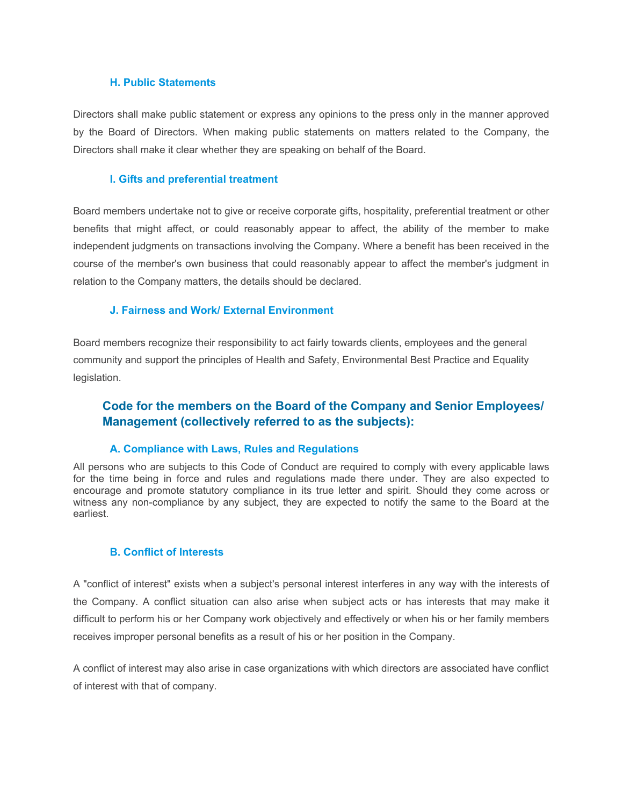#### **H. Public Statements**

Directors shall make public statement or express any opinions to the press only in the manner approved by the Board of Directors. When making public statements on matters related to the Company, the Directors shall make it clear whether they are speaking on behalf of the Board.

#### **I. Gifts and preferential treatment**

Board members undertake not to give or receive corporate gifts, hospitality, preferential treatment or other benefits that might affect, or could reasonably appear to affect, the ability of the member to make independent judgments on transactions involving the Company. Where a benefit has been received in the course of the member's own business that could reasonably appear to affect the member's judgment in relation to the Company matters, the details should be declared.

#### **J. Fairness and Work/ External Environment**

Board members recognize their responsibility to act fairly towards clients, employees and the general community and support the principles of Health and Safety, Environmental Best Practice and Equality legislation.

# **Code for the members on the Board of the Company and Senior Employees/ Management (collectively referred to as the subjects):**

#### **A. Compliance with Laws, Rules and Regulations**

All persons who are subjects to this Code of Conduct are required to comply with every applicable laws for the time being in force and rules and regulations made there under. They are also expected to encourage and promote statutory compliance in its true letter and spirit. Should they come across or witness any non-compliance by any subject, they are expected to notify the same to the Board at the earliest.

#### **B. Conflict of Interests**

A "conflict of interest" exists when a subject's personal interest interferes in any way with the interests of the Company. A conflict situation can also arise when subject acts or has interests that may make it difficult to perform his or her Company work objectively and effectively or when his or her family members receives improper personal benefits as a result of his or her position in the Company.

A conflict of interest may also arise in case organizations with which directors are associated have conflict of interest with that of company.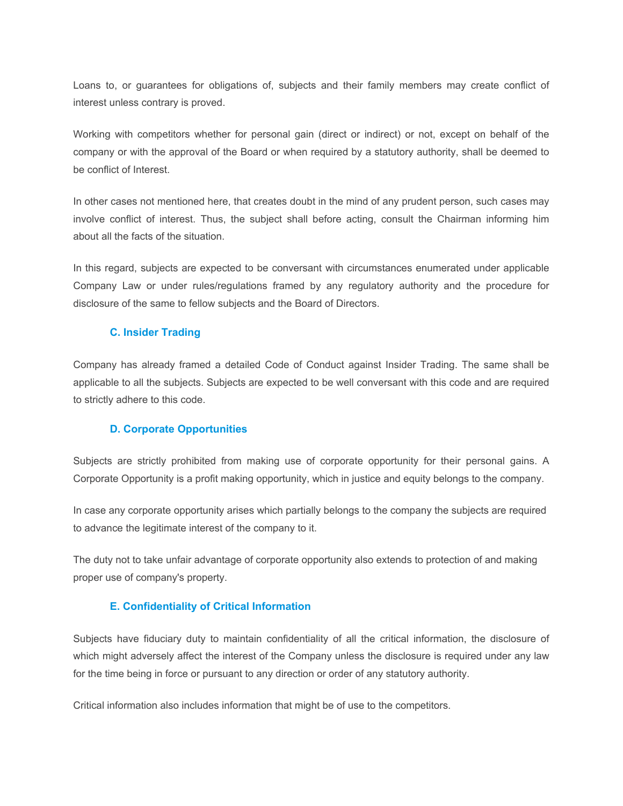Loans to, or guarantees for obligations of, subjects and their family members may create conflict of interest unless contrary is proved.

Working with competitors whether for personal gain (direct or indirect) or not, except on behalf of the company or with the approval of the Board or when required by a statutory authority, shall be deemed to be conflict of Interest.

In other cases not mentioned here, that creates doubt in the mind of any prudent person, such cases may involve conflict of interest. Thus, the subject shall before acting, consult the Chairman informing him about all the facts of the situation.

In this regard, subjects are expected to be conversant with circumstances enumerated under applicable Company Law or under rules/regulations framed by any regulatory authority and the procedure for disclosure of the same to fellow subjects and the Board of Directors.

## **C. Insider Trading**

Company has already framed a detailed Code of Conduct against Insider Trading. The same shall be applicable to all the subjects. Subjects are expected to be well conversant with this code and are required to strictly adhere to this code.

## **D. Corporate Opportunities**

Subjects are strictly prohibited from making use of corporate opportunity for their personal gains. A Corporate Opportunity is a profit making opportunity, which in justice and equity belongs to the company.

In case any corporate opportunity arises which partially belongs to the company the subjects are required to advance the legitimate interest of the company to it.

The duty not to take unfair advantage of corporate opportunity also extends to protection of and making proper use of company's property.

# **E. Confidentiality of Critical Information**

Subjects have fiduciary duty to maintain confidentiality of all the critical information, the disclosure of which might adversely affect the interest of the Company unless the disclosure is required under any law for the time being in force or pursuant to any direction or order of any statutory authority.

Critical information also includes information that might be of use to the competitors.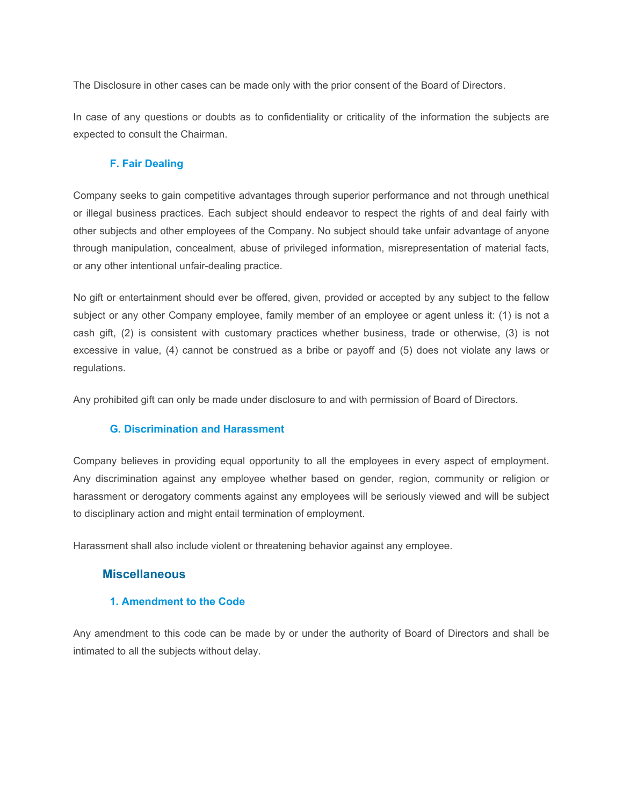The Disclosure in other cases can be made only with the prior consent of the Board of Directors.

In case of any questions or doubts as to confidentiality or criticality of the information the subjects are expected to consult the Chairman.

## **F. Fair Dealing**

Company seeks to gain competitive advantages through superior performance and not through unethical or illegal business practices. Each subject should endeavor to respect the rights of and deal fairly with other subjects and other employees of the Company. No subject should take unfair advantage of anyone through manipulation, concealment, abuse of privileged information, misrepresentation of material facts, or any other intentional unfair-dealing practice.

No gift or entertainment should ever be offered, given, provided or accepted by any subject to the fellow subject or any other Company employee, family member of an employee or agent unless it: (1) is not a cash gift, (2) is consistent with customary practices whether business, trade or otherwise, (3) is not excessive in value, (4) cannot be construed as a bribe or payoff and (5) does not violate any laws or regulations.

Any prohibited gift can only be made under disclosure to and with permission of Board of Directors.

## **G. Discrimination and Harassment**

Company believes in providing equal opportunity to all the employees in every aspect of employment. Any discrimination against any employee whether based on gender, region, community or religion or harassment or derogatory comments against any employees will be seriously viewed and will be subject to disciplinary action and might entail termination of employment.

Harassment shall also include violent or threatening behavior against any employee.

# **Miscellaneous**

## **1. Amendment to the Code**

Any amendment to this code can be made by or under the authority of Board of Directors and shall be intimated to all the subjects without delay.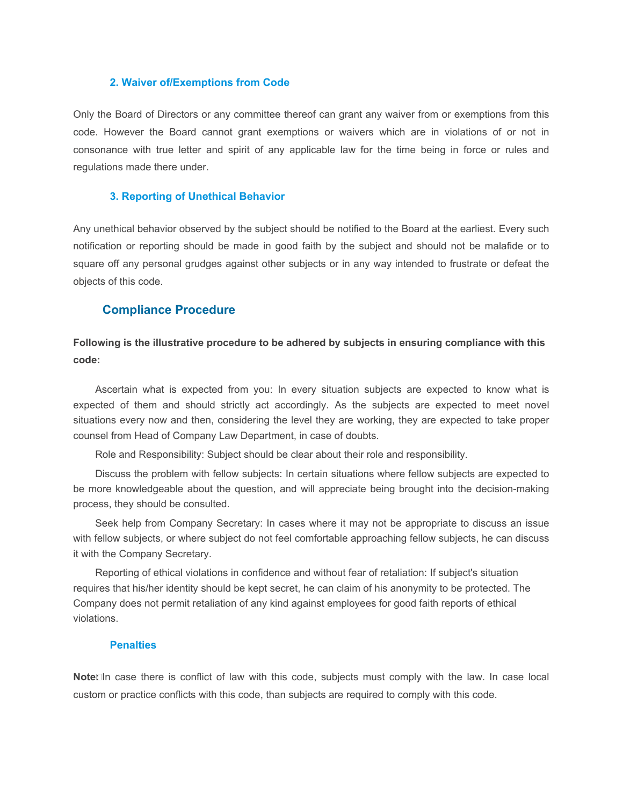#### **2. Waiver of/Exemptions from Code**

Only the Board of Directors or any committee thereof can grant any waiver from or exemptions from this code. However the Board cannot grant exemptions or waivers which are in violations of or not in consonance with true letter and spirit of any applicable law for the time being in force or rules and regulations made there under.

#### **3. Reporting of Unethical Behavior**

Any unethical behavior observed by the subject should be notified to the Board at the earliest. Every such notification or reporting should be made in good faith by the subject and should not be malafide or to square off any personal grudges against other subjects or in any way intended to frustrate or defeat the objects of this code.

### **Compliance Procedure**

**Following is the illustrative procedure to be adhered by subjects in ensuring compliance with this code:**

Ascertain what is expected from you: In every situation subjects are expected to know what is expected of them and should strictly act accordingly. As the subjects are expected to meet novel situations every now and then, considering the level they are working, they are expected to take proper counsel from Head of Company Law Department, in case of doubts.

Role and Responsibility: Subject should be clear about their role and responsibility.

Discuss the problem with fellow subjects: In certain situations where fellow subjects are expected to be more knowledgeable about the question, and will appreciate being brought into the decision-making process, they should be consulted.

Seek help from Company Secretary: In cases where it may not be appropriate to discuss an issue with fellow subjects, or where subject do not feel comfortable approaching fellow subjects, he can discuss it with the Company Secretary.

Reporting of ethical violations in confidence and without fear of retaliation: If subject's situation requires that his/her identity should be kept secret, he can claim of his anonymity to be protected. The Company does not permit retaliation of any kind against employees for good faith reports of ethical violations.

#### **Penalties**

**Note:** In case there is conflict of law with this code, subjects must comply with the law. In case local custom or practice conflicts with this code, than subjects are required to comply with this code.